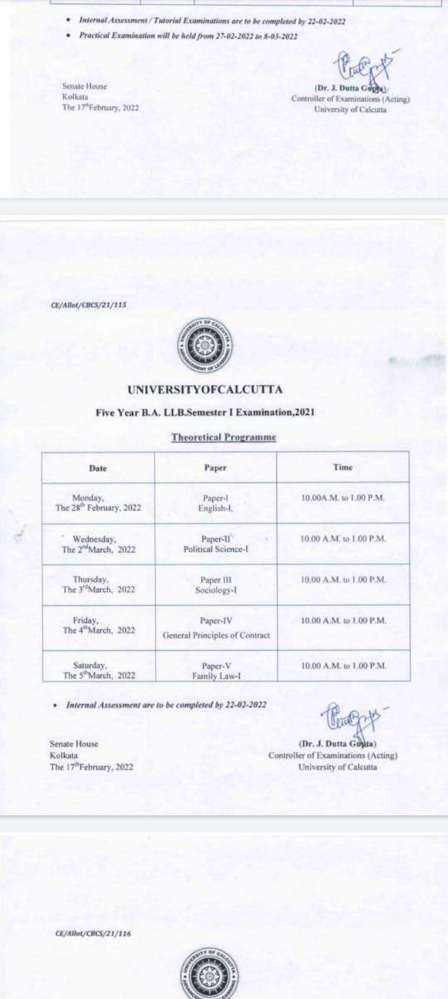• Internal Assessment / Tutorial Examinations are to be completed by 22-02-2022

· Practical Examination will be held from 27-02-2022 to 8-03-2022

Senate House Kolkata The 17<sup>th</sup>February, 2022

(Dr. J. Dutta Guyra) Controller of Examinations (Acting) University of Calcutta

CE/Allot/CBCS/21/115



### **UNIVERSITYOFCALCUTTA**

#### Five Year B.A. LLB.Semester I Examination, 2021

#### **Theoretical Programme**

| Date                                           | Paper                                        | Time                    |
|------------------------------------------------|----------------------------------------------|-------------------------|
| Monday,<br>The 28 <sup>th</sup> February, 2022 | Paper-I<br>English-L                         | 10.00A.M. to 1.00 P.M.  |
| Wednesday,<br>The 2 <sup>nd</sup> March, 2022  | Paper-II <sup>7</sup><br>Political Science-I | 10.00 A.M. to 1.00 P.M. |
| Thursday,<br>The 3 <sup>rd</sup> March, 2022   | Paper III<br>Sociology-I                     | 10.00 A.M. to 1.00 P.M. |
| Friday,<br>The 4 <sup>th</sup> March, 2022     | Paper-IV<br>General Principles of Contract   | 10.00 A.M. to L00 P.M.  |
| Saturday.<br>The 5 <sup>th</sup> March, 2022   | Paper-V<br>Family Law-I                      | 10.00 A.M. to 1.00 P.M. |

· Internal Assessment are to be completed by 22-02-2022

Senate House Kolkata The 17<sup>th</sup>February, 2022

(Dr. J. Dutta Gugia) Controller of Examinations (Acting) University of Calcutta

CE/Allat/CBCS/21/116